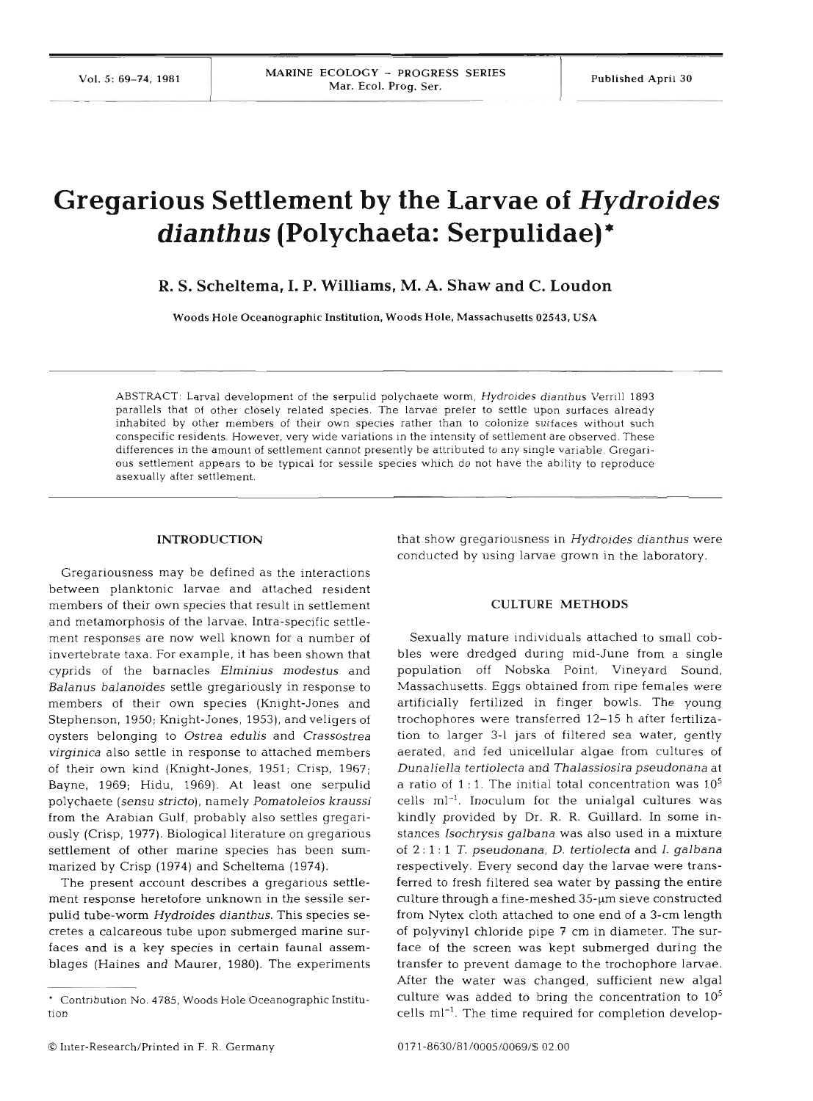# **Gregarious Settlement by the Larvae of** *Hydroides dianthus* **(Polychaeta: Serpulidae)** \*

**R. S. Scheltema, I. P. Williams, M. A. Shaw and C. Loudon** 

Woods Hole Oceanographic Institution. Woods Hole. Massachusetts 02543. USA

ABSTRACT: Larval development of the serpulid polychaete worm, Hydroides dianthus Verrill 1893 parallels that of other closely related species. The larvae prefer to settle upon surfaces already inhabited by other members of their own species rather than to colonize surfaces without such conspecific residents. However, very wide variations in the intensity of settlement are observed. These differences in the amount of settlement cannot presently be attributed to any single variable. Gregarious settlement appears to be typical for sessile species which do not have the ability to reproduce asexually after settlement.

## **INTRODUCTION**

Gregariousness may be defined as the interactions between planktonic larvae and attached resident members of their own species that result in settlement and metamorphosis of the larvae. Intra-specific settlement responses are now well known for a number of invertebrate taxa. For example, it has been shown that cyprids of the barnacles Elminius modestus and Balanus balanoides settle gregariously in response to members of their own species (Knight-Jones and Stephenson, 1950; Knight-Jones, 1953), and veligers of oysters belonging to Ostrea edulis and Crassostrea virginica also settle in response to attached members of their own kind (Knight-Jones, 1951; Crisp, 1967; Bayne, 1969; Hidu, 1969). At least one serpulid polychaete (sensu stricto), namely Pomatoleios kraussi from the Arabian Gulf, probably also settles gregariously (Crisp, 1977). Biological literature on gregarious settlement of other marine species has been summarized by Crisp (1974) and Scheltema (1974).

The present account describes a gregarious settlement response heretofore unknown in the sessile serpulid tube-worm Hydroides dianthus. This species secretes a calcareous tube upon submerged marine surfaces and is a key species in certain faunal assemblages (Haines and Maurer, 1980). The experiments that show gregariousness in Hydroides dianthus were conducted by using larvae grown in the laboratory.

### **CULTURE METHODS**

Sexually mature individuals attached to small cobbles were dredged during mid-June from a single population off Nobska Point, Vineyard Sound, Massachusetts. Eggs obtained from ripe females were artificially fertilized in finger bowls. The young trochophores were transferred 12-15 h after fertilization to larger 3-1 jars of filtered sea water, gently aerated, and fed unicellular algae from cultures of Dunaliella tertiolecta and Thalassiosira pseudonana at a ratio of 1:1. The initial total concentration was  $10<sup>5</sup>$  $cells$  ml<sup>-1</sup>. Inoculum for the unialgal cultures was kindly provided by Dr. R. R. Guillard. In some instances Isochrysis galbana was also used in a mixture of 2 : 1 : 1 T. pseudonana, D. tertiolecta and I. galbana respectively. Every second day the larvae were transferred to fresh filtered sea water by passing the entire culture through a fine-meshed 35-um sieve constructed from Nytex cloth attached to one end of a 3-cm length of polyvinyl chloride pipe 7 cm in diameter. The surface of the screen was kept submerged during the transfer to prevent damage to the trochophore larvae. After the water was changed, sufficient new algal culture was added to bring the concentration to  $10<sup>5</sup>$ cells ml-l. The time required for completion develop-

Contribution No. 4785, Woods Hole Oceanographic Institution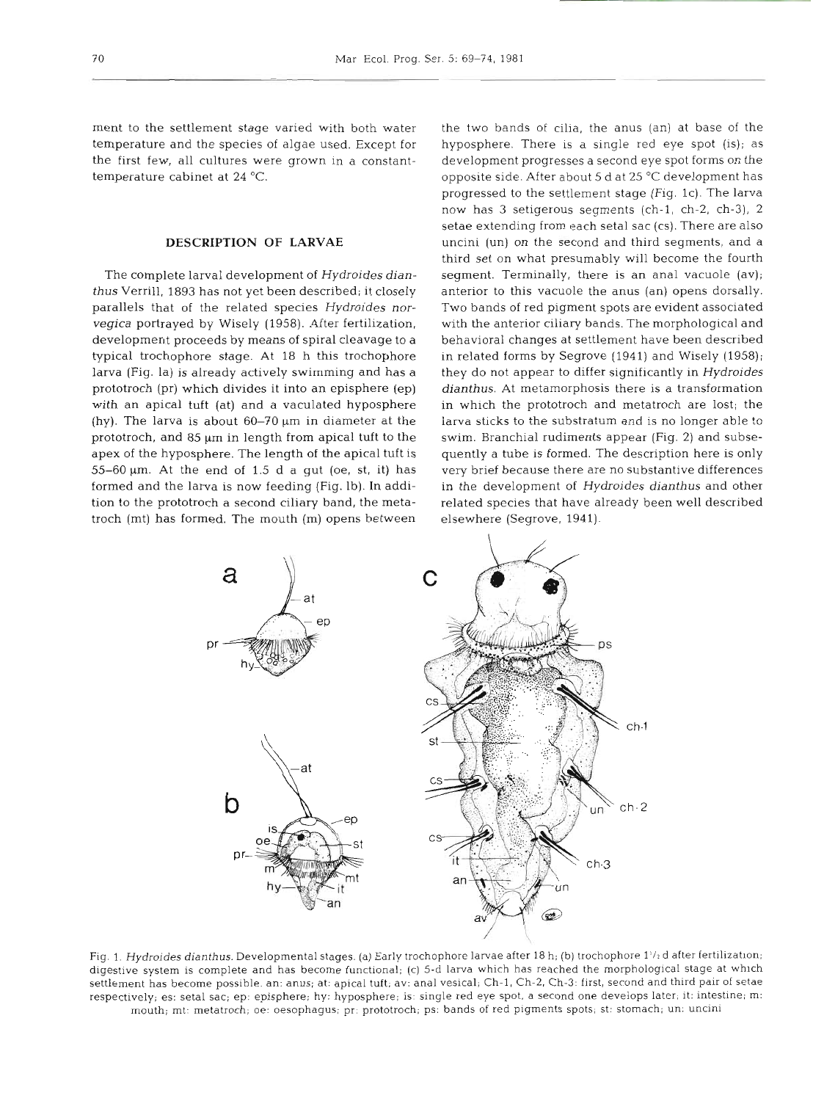ment to the settlement stage varied with both water temperature and the species of algae used. Except for the first few, all cultures were grown in a constanttemperature cabinet at 24 "C.

# **DESCRIPTION OF LARVAE**

The complete larval development of Hydroides dian*thus* Verrill, 1893 has not yet been described; it closely parallels that of the related species Hydroides norvegica portrayed by Wisely (1958). After fertilization, development proceeds by means of spiral cleavage to a typical trochophore stage. At 18 h this trochophore larva (Fig, la) is already actively swimming and has a prototroch (pr) which divides it into an episphere (ep) with an apical tuft (at) and a vaculated hyposphere (hy). The larva is about  $60-70 \mu m$  in diameter at the prototroch, and 85  $\mu$ m in length from apical tuft to the apex of the hyposphere. The length of the apical tuft is  $55-60 \mu m$ . At the end of 1.5 d a gut (oe, st, it) has formed and the larva is now feeding (Fig. lb). In addition to the prototroch a second ciliary band, the metatroch (mt) has formed. The mouth (m) opens between

the two bands of cilia, the anus (an) at base of the hyposphere. There is a single red eye spot (is); as development progresses a second eye spot forms on the opposite side. After about 5 d at 25 "C development has progressed to the settlement stage (Fig. lc). The larva now has 3 setigerous segments (ch-l, ch-2, ch-3), 2 setae extending from each setal sac (cs). There are also uncini (un) on the second and third segments, and a third set on what presumably will become the fourth segment. Terminally, there is an anal vacuole (av); anterior to this vacuole the anus (an) opens dorsally. Two bands of red pigment spots are evident associated with the anterior ciliary bands. The morphological and behavioral changes at settlement have been described in related forms by Segrove (1941) and Wisely (1958); they do not appear to differ significantly in Hydroides dianthus. At metamorphosis there is a transformation in which the prototroch and metatroch are lost; the larva sticks to the substratum and is no longer able to swim. Branchial rudiments appear (Fig. 2) and subsequently a tube is formed. The description here is only very brief because there are no substantive differences in the development of Hydroides dianthus and other related species that have already been well described elsewhere (Segrove, 1941).



Fig. 1. Hydroides dianthus. Developmental stages. (a) Early trochophore larvae after 18 h; (b) trochophore 1<sup>1</sup>/2 d after fertilization; digestive system is complete and has become functional; (c) 5-d larva which has reached the morphological stage at which settlement has become possible. an: anus; at: apical tuft; av: anal vesical; Ch-l, Ch-2, Ch-3: first, second and third palr of setae respectively; es: setal sac; ep: episphere; hy: hyposphere; is: single red eye spot, a second one develops later; it: intestine; m: mouth; mt: metatroch; oe: oesophagus; pr: prototroch; ps: bands of red pigments spots; st: stomach; un: uncini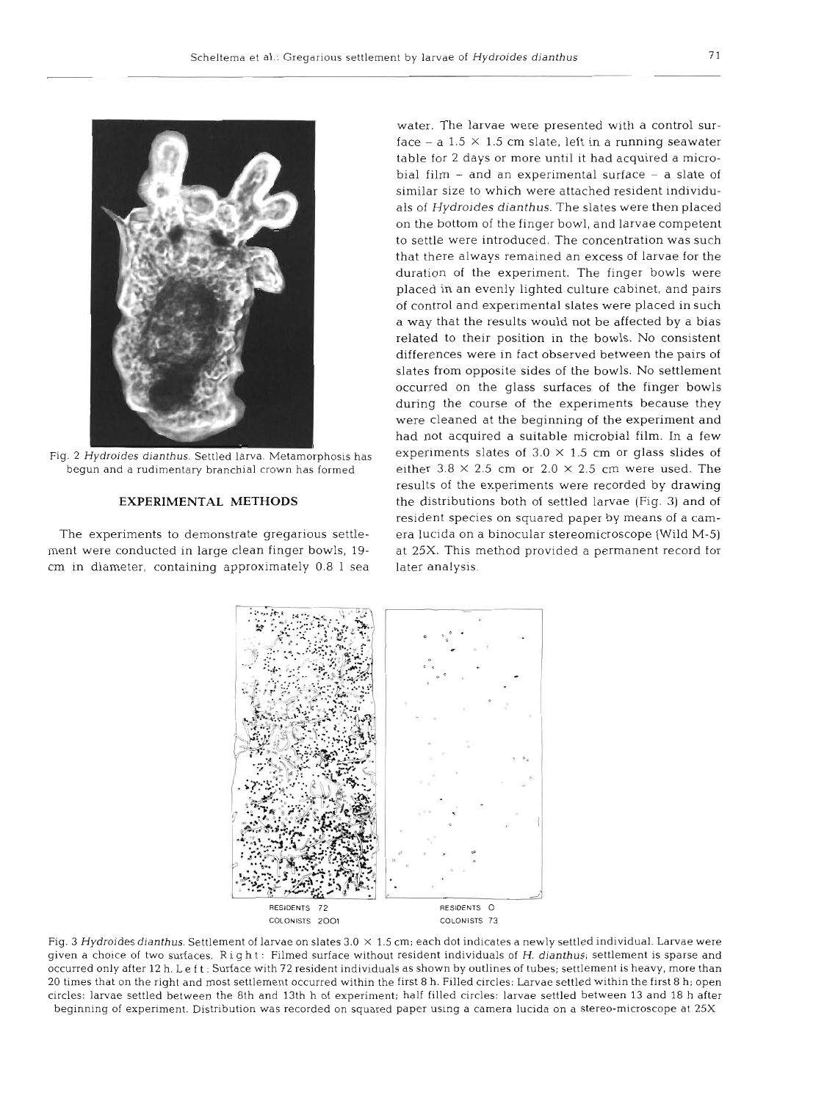

cm in diameter, containing approximately 0.8 1 sea later analysis.

Fig. 2 Hydroides dianthus. Settled larva. Metamorphosis has experiments slates of  $3.0 \times 1.5$  cm or glass slides of water. The larvae were presented with a control surface  $-$  a 1.5  $\times$  1.5 cm slate, left in a running seawater table for 2 days or more until it had acquired a microbial film  $-$  and an experimental surface  $-$  a slate of similar size to which were attached resident individuals of Hydroides dianthus. The slates were then placed on the bottom of the finger bowl, and larvae competent to settle were introduced. The concentration was such that there always remained an excess of larvae for the duration of the experiment. The finger bowls were placed in an evenly lighted culture cabinet, and pairs of control and experimental slates were placed in such a way that the results would not be affected by a bias related to their position in the bowls. No consistent differences were in fact observed between the pairs of slates from opposite sides of the bowls. No settlement occurred on the glass surfaces of the finger bowls during the course of the experiments because they were cleaned at the beginning of the experiment and had not acquired a suitable microbial film. In a few begun and a rudimentary branchial crown has formed either  $3.8 \times 2.5$  cm or  $2.0 \times 2.5$  cm were used. The results of the experiments were recorded by drawing **EXPERIMENTAL METHODS** the distributions both of settled larvae (Fig. **3)** and of resident species on squared paper by means of a cam-The experiments to demonstrate gregarious settle- era lucida on a binocular stereomicroscope (Wild M-5) ment were conducted in large clean finger bowls, 19- at 25X. This method provided a permanent record for



Fig. **3** Hydroides dianthus. Settlement of larvae on slates 3.0 **X** 1.5 cm; each dot indicates a newly settled individual. Larvae were given a choice of two surfaces. Right: Filmed surface without resident individuals of H. dianthus; settlement is sparse and occurred only after 12 h. Le f t : Surface with 72 resident individuals as shown by outlines of tubes; settlement is heavy, more than 20 times that on the right and most settlement occurred within the first 8 h. Filled circles: Larvae settled within the first 8 h; open circles: larvae settled between the 8th and 13th h of experiment; half filled circles: larvae settled between 13 and 18 h after beginning of experiment. Distribution was recorded on squared paper using a camera lucida on a stereo-microscope at 25X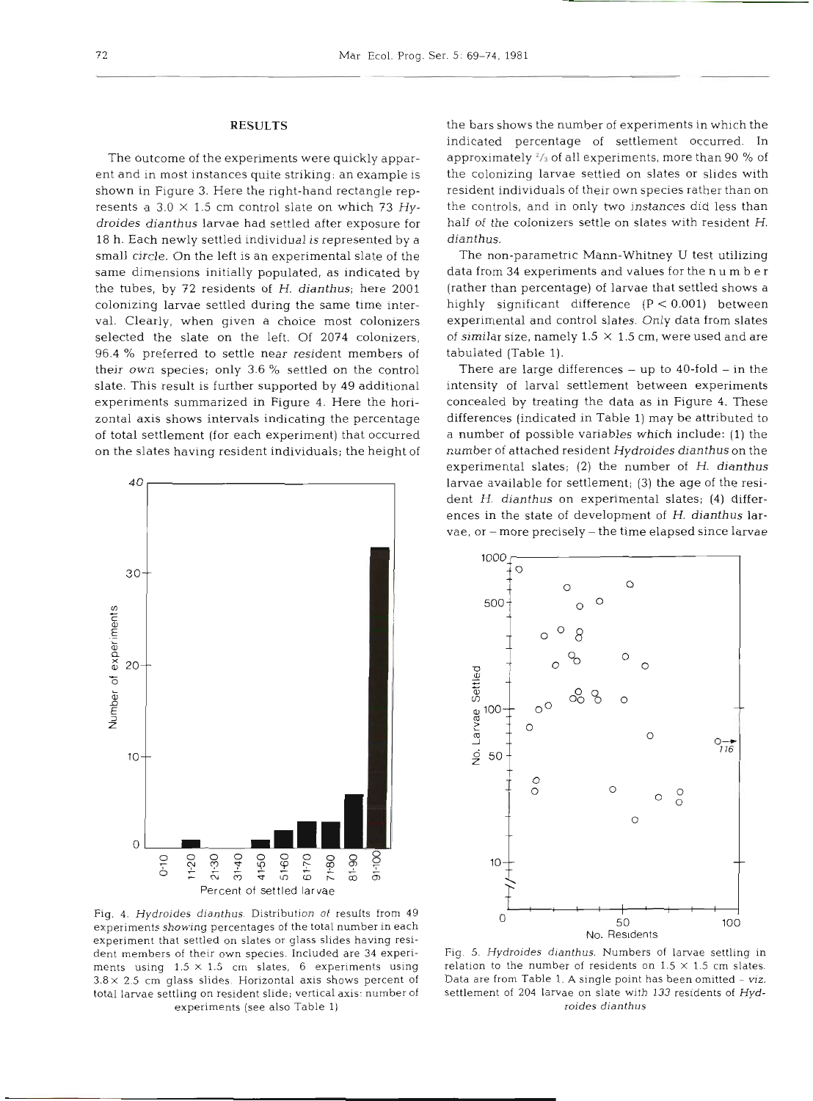# **RESULTS**

The outcome of the experiments were quickly apparent and in most instances quite striking: an example is shown in Figure **3.** Here the right-hand rectangle represents a  $3.0 \times 1.5$  cm control slate on which 73  $Hy$ droides dianthus larvae had settled after exposure for 18 h. Each newly settled individual is represented by a small circle. On the left is an experimental slate of the same dimensions initially populated, as indicated by the tubes, by 72 residents of H. dianthus; here 2001 colonizing larvae settled during the same time interval. Clearly, when given a choice most colonizers selected the slate on the left. Of 2074 colonizers, 96.4 % preferred to settle near resident members of their own species; only 3.6 % settled on the control slate. This result is further supported by 49 additional experiments summarized in Figure 4. Here the horizontal axis shows intervals indicating the percentage of total settlement (for each experiment) that occurred on the slates having resident individuals; the height of



Fig. 4. Hydroides dianthus. Distribution of results from 49 experiments showing percentages of the total number in each experiment that settled on slates or glass slides having resident members of their own species. Included are **34** experiments using  $1.5 \times 1.5$  cm slates, 6 experiments using  $3.8 \times 2.5$  cm glass slides. Horizontal axis shows percent of total larvae settling on resident slide; vertical axis: number of experiments (see also Table 1)

the bars shows the number of experiments in which the indicated percentage of settlement occurred. In approximately *l/3* of all experiments, more than 90 % of the colonizing larvae settled on slates or slides with resident individuals of their own species rather than on the controls, and in only two instances did less than half of the colonizers settle on slates with resident H. dianthus.

The non-parametric Mann-Whitney U test utilizing data from 34 experiments and values for the n u m b e r (rather than percentage) of larvae that settled shows a highly significant difference (P < 0.001) between experimental and control slates. Only data from slates of similar size, namely 1.5 **X** 1.5 cm, were used and are tabulated (Table 1).

There are large differences  $-$  up to 40-fold  $-$  in the intensity of larval settlement between experiments concealed by treating the data as in Figure 4. These differences (indicated in Table 1) may be attributed to a number of possible variables which include: (1) the number of attached resident Hydroides dianthus on the experimental slates; **(2)** the number of H. dianthus larvae available for settlement; **(3)** the age of the resident H. dianthus on experimental slates; (4) differences in the state of development of H. dianthus larvae, or -more precisely - the time elapsed since larvae



Fig. 5. Hydroides dianthus. Numbers of larvae settling in relation to the number of residents on  $1.5 \times 1.5$  cm slates. Data are from Table 1. A single point has been omitted - viz. settlement of 204 larvae on slate with 133 residents of Hydroides dianthus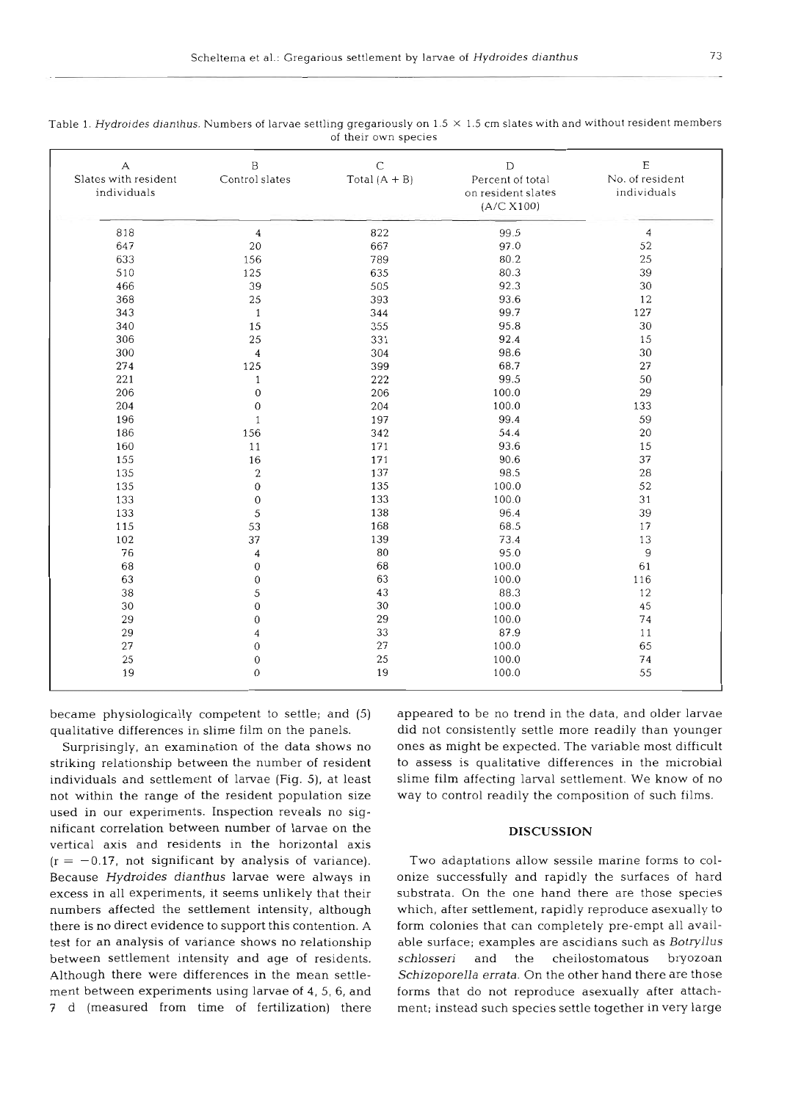| А<br>Slates with resident<br>individuals | B<br>Control slates | $\mathsf C$<br>Total $(A + B)$ | $\mathbf D$<br>Percent of total<br>on resident slates<br>(A/C X100) | E<br>No. of resident<br>individuals |
|------------------------------------------|---------------------|--------------------------------|---------------------------------------------------------------------|-------------------------------------|
| 818                                      | $\overline{4}$      | 822                            | 99.5                                                                | $\overline{4}$                      |
| 647                                      | 20                  | 667                            | 97.0                                                                | 52                                  |
| 633                                      | 156                 | 789                            | 80.2                                                                | 25                                  |
| 510                                      | 125                 | 635                            | 80.3                                                                | 39                                  |
| 466                                      | 39                  | 505                            | 92.3                                                                | 30                                  |
| 368                                      | 25                  | 393                            | 93.6                                                                | 12                                  |
| 343                                      | $\mathbf{1}$        | 344                            | 99.7                                                                | 127                                 |
| 340                                      | 15                  | 355                            | 95.8                                                                | 30                                  |
| 306                                      | 25                  | 331                            | 92.4                                                                | 15                                  |
| 300                                      | 4                   | 304                            | 98.6                                                                | 30                                  |
| 274                                      | 125                 | 399                            | 68.7                                                                | 27                                  |
| 221                                      | $\mathbf{1}$        | 222                            | 99.5                                                                | 50                                  |
| 206                                      | $\boldsymbol{0}$    | 206                            | 100.0                                                               | 29                                  |
| 204                                      | $\mathbf 0$         | 204                            | 100.0                                                               | 133                                 |
| 196                                      | $\mathbf{1}$        | 197                            | 99.4                                                                | 59                                  |
| 186                                      | 156                 | 342                            | 54.4                                                                | 20                                  |
| 160                                      | 11                  | 171                            | 93.6                                                                | 15                                  |
| 155                                      | 16                  | 171                            | 90.6                                                                | 37                                  |
| 135                                      | $\overline{2}$      | 137                            | 98.5                                                                | 28                                  |
| 135                                      | $\boldsymbol{0}$    | 135                            | 100.0                                                               | 52                                  |
| 133                                      | $\mathbf 0$         | 133                            | 100.0                                                               | 31                                  |
| 133                                      | 5                   | 138                            | 96.4                                                                | 39                                  |
| 115                                      | 53                  | 168                            | 68.5                                                                | 17                                  |
| 102                                      | 37                  | 139                            | 73.4                                                                | 13                                  |
| 76                                       | 4                   | 80                             | 95.0                                                                | 9                                   |
| 68                                       | $\boldsymbol{0}$    | 68                             | 100.0                                                               | 61                                  |
| 63                                       | $\boldsymbol{0}$    | 63                             | 100.0                                                               | 116                                 |
| 38                                       | 5                   | 43                             | 88.3                                                                | 12                                  |
| 30                                       | $\overline{0}$      | 30                             | 100.0                                                               | 45                                  |
| 29                                       | $\mathbf 0$         | 29                             | 100.0                                                               | 74                                  |
| 29                                       | 4                   | 33                             | 87.9                                                                | 11                                  |
| 27                                       | $\boldsymbol{0}$    | 27                             | 100.0                                                               | 65                                  |
| 25                                       | $\boldsymbol{0}$    | 25                             | 100.0                                                               | 74                                  |
| 19                                       | $\mathbf{0}$        | 19                             | 100.0                                                               | 55                                  |

| Table 1. Hydroides dianthus. Numbers of larvae settling gregariously on $1.5 \times 1.5$ cm slates with and without resident members |
|--------------------------------------------------------------------------------------------------------------------------------------|
| of their own species                                                                                                                 |

became physiologically competent to settle; and (5) qualitative differences in slime film on the panels.

Surprisingly, an examination of the data shows no striking relationship between the number of resident individuals and settlement of larvae (Fig. 5), at least not within the range of the resident population size used in our experiments. Inspection reveals no significant correlation between number of larvae on the vertical axis and residents in the horizontal axis  $(r = -0.17$ , not significant by analysis of variance). Because **Hydroides dianthus** larvae were always in excess in all experiments, it seems unlikely that their numbers affected the settlement intensity, although there is no direct evidence to support this contention. A test for an analysis of variance shows no relationship between settlement intensity and age of residents. Although there were differences in the mean settlement between experiments using larvae of 4, 5, 6, and **7** d (measured from time of fertilization) there

appeared to be no trend in the data, and older larvae did not consistently settle more readily than younger ones as might be expected. The variable most difficult to assess is qualitative differences in the microbial slime film affecting larval settlement. We know of no way to control readily the composition of such films.

### **DISCUSSION**

Two adaptations allow sessile marine forms to colonize successfully and rapidly the surfaces of hard substrata. On the one hand there are those species which, after settlement, rapidly reproduce asexually to form colonies that can completely pre-empt all available surface; examples are ascidians such as Botryllus schlosseri and the cheilostomatous bryozoan Schizoporella errata. On the other hand there are those forms that do not reproduce asexually after attachment; instead such species settle together in very large